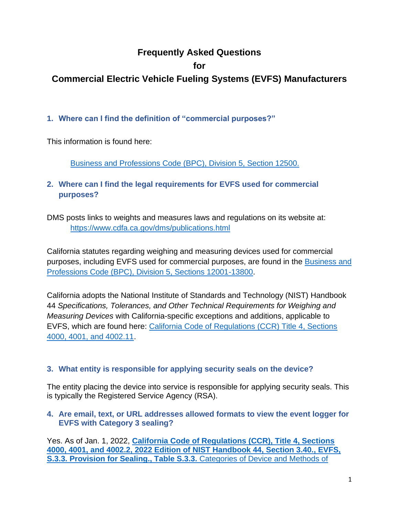# **Frequently Asked Questions**

## **for**

# **Commercial Electric Vehicle Fueling Systems (EVFS) Manufacturers**

# **1. Where can I find the definition of "commercial purposes?"**

This information is found here:

[Business and Professions Code \(BPC\), Division 5, Section 12500.](https://leginfo.legislature.ca.gov/faces/codes_displaySection.xhtml?sectionNum=12500.&lawCode=BPC)

**2. Where can I find the legal requirements for EVFS used for commercial purposes?**

DMS posts links to weights and measures laws and regulations on its website at: <https://www.cdfa.ca.gov/dms/publications.html>

California statutes regarding weighing and measuring devices used for commercial purposes, including EVFS used for commercial purposes, are found in the [Business and](https://leginfo.legislature.ca.gov/faces/codes_displayexpandedbranch.xhtml?tocCode=BPC&division=5.&title=&part=&chapter=&article=)  [Professions Code \(BPC\), Division 5, Sections 12001-13800.](https://leginfo.legislature.ca.gov/faces/codes_displayexpandedbranch.xhtml?tocCode=BPC&division=5.&title=&part=&chapter=&article=)

California adopts the National Institute of Standards and Technology (NIST) Handbook 44 *Specifications, Tolerances, and Other Technical Requirements for Weighing and Measuring Devices* with California-specific exceptions and additions, applicable to EVFS, which are found here: [California Code of Regulations \(CCR\) Title 4, Sections](https://govt.westlaw.com/calregs/Browse/Home/California/CaliforniaCodeofRegulations?guid=I51963570D45911DEA95CA4428EC25FA0&originationContext=documenttoc&transitionType=Default&contextData=(sc.Default)&bhcp=1)  [4000, 4001, and 4002.11.](https://govt.westlaw.com/calregs/Browse/Home/California/CaliforniaCodeofRegulations?guid=I51963570D45911DEA95CA4428EC25FA0&originationContext=documenttoc&transitionType=Default&contextData=(sc.Default)&bhcp=1)

## **3. What entity is responsible for applying security seals on the device?**

The entity placing the device into service is responsible for applying security seals. This is typically the Registered Service Agency (RSA).

### **4. Are email, text, or URL addresses allowed formats to view the event logger for EVFS with Category 3 sealing?**

Yes. As of Jan. 1, 2022, **[California Code of Regulations \(CCR\), Title 4, Sections](https://www.cdfa.ca.gov/dms/docs/publications/2022/Part_3_Combined.pdf)  [4000, 4001, and 4002.2, 2022 Edition of NIST Handbook 44, Section 3.40.,](https://www.cdfa.ca.gov/dms/docs/publications/2022/Part_3_Combined.pdf) EVFS, [S.3.3. Provision for Sealing., Table S.3.3.](https://www.cdfa.ca.gov/dms/docs/publications/2022/Part_3_Combined.pdf)** Categories of Device and Methods of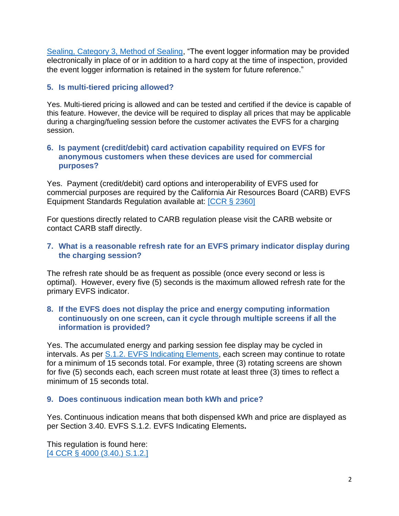[Sealing, Category 3, Method of Sealing,](https://www.cdfa.ca.gov/dms/docs/publications/2022/Part_3_Combined.pdf) "The event logger information may be provided electronically in place of or in addition to a hard copy at the time of inspection, provided the event logger information is retained in the system for future reference."

## **5. Is multi-tiered pricing allowed?**

Yes. Multi-tiered pricing is allowed and can be tested and certified if the device is capable of this feature. However, the device will be required to display all prices that may be applicable during a charging/fueling session before the customer activates the EVFS for a charging session.

### **6. Is payment (credit/debit) card activation capability required on EVFS for anonymous customers when these devices are used for commercial purposes?**

Yes. Payment (credit/debit) card options and interoperability of EVFS used for commercial purposes are required by the California Air Resources Board (CARB) EVFS Equipment Standards Regulation available at: [\[CCR § 2360\]](https://ww2.arb.ca.gov/sites/default/files/2020-06/evse_fro_ac.pdf)

For questions directly related to CARB regulation please visit the CARB website or contact CARB staff directly.

### **7. What is a reasonable refresh rate for an EVFS primary indicator display during the charging session?**

The refresh rate should be as frequent as possible (once every second or less is optimal). However, every five (5) seconds is the maximum allowed refresh rate for the primary EVFS indicator.

### **8. If the EVFS does not display the price and energy computing information continuously on one screen, can it cycle through multiple screens if all the information is provided?**

Yes. The accumulated energy and parking session fee display may be cycled in intervals. As per S.1.2. EVFS [Indicating Elements,](https://www.cdfa.ca.gov/dms/docs/publications/2022/Part_3_Combined.pdf) each screen may continue to rotate for a minimum of 15 seconds total. For example, three (3) rotating screens are shown for five (5) seconds each, each screen must rotate at least three (3) times to reflect a minimum of 15 seconds total.

## **9. Does continuous indication mean both kWh and price?**

Yes. Continuous indication means that both dispensed kWh and price are displayed as per Section 3.40. EVFS S.1.2. EVFS Indicating Elements**.**

This regulation is found here: [4 CCR § 4000 (3.40.) [S.1.2.\]](https://www.cdfa.ca.gov/dms/pdfs/field_reference_manual/3-2021_NIST_HB_44_Sections_330_-_340_-_ADA.pdf)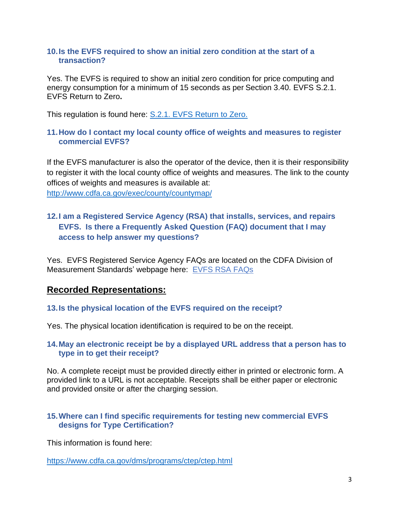### **10.Is the EVFS required to show an initial zero condition at the start of a transaction?**

Yes. The EVFS is required to show an initial zero condition for price computing and energy consumption for a minimum of 15 seconds as per Section 3.40. EVFS S.2.1. EVFS Return to Zero**.**

This regulation is found here: S.2.1. EVFS [Return to Zero.](https://www.cdfa.ca.gov/dms/pdfs/field_reference_manual/3-2021_NIST_HB_44_Sections_330_-_340_-_ADA.pdf)

### **11.How do I contact my local county office of weights and measures to register commercial EVFS?**

If the EVFS manufacturer is also the operator of the device, then it is their responsibility to register it with the local county office of weights and measures. The link to the county offices of weights and measures is available at: <http://www.cdfa.ca.gov/exec/county/countymap/>

# **12.I am a Registered Service Agency (RSA) that installs, services, and repairs EVFS. Is there a Frequently Asked Question (FAQ) document that I may access to help answer my questions?**

Yes. EVFS Registered Service Agency FAQs are located on the CDFA Division of Measurement Standards' webpage here: EVFS [RSA FAQs](https://www.cdfa.ca.gov/dms/pdfs/EVSE_RSA_FAQ.pdf)

# **Recorded Representations:**

**13.Is the physical location of the EVFS required on the receipt?**

Yes. The physical location identification is required to be on the receipt.

### **14.May an electronic receipt be by a displayed URL address that a person has to type in to get their receipt?**

No. A complete receipt must be provided directly either in printed or electronic form. A provided link to a URL is not acceptable. Receipts shall be either paper or electronic and provided onsite or after the charging session.

### **15.Where can I find specific requirements for testing new commercial EVFS designs for Type Certification?**

This information is found here:

<https://www.cdfa.ca.gov/dms/programs/ctep/ctep.html>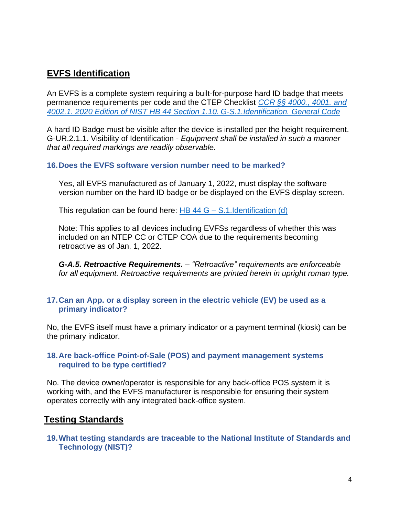# **EVFS Identification**

An EVFS is a complete system requiring a built-for-purpose hard ID badge that meets permanence requirements per code and the CTEP Checklist *[CCR §§ 4000., 4001. and](https://www.cdfa.ca.gov/dms/docs/publications/2022/Part_2_Chpt_1_2022.pdf)  [4002.1. 2020 Edition of NIST HB 44 Section 1.10.](https://www.cdfa.ca.gov/dms/docs/publications/2022/Part_2_Chpt_1_2022.pdf) G-S.1.Identification. General Code*

A hard ID Badge must be visible after the device is installed per the height requirement. G-UR.2.1.1. Visibility of Identification - *Equipment shall be installed in such a manner that all required markings are readily observable.*

### **16.Does the EVFS software version number need to be marked?**

Yes, all EVFS manufactured as of January 1, 2022, must display the software version number on the hard ID badge or be displayed on the EVFS display screen.

This regulation can be found here:  $\overline{HB}$  44 G – [S.1.Identification \(d\)](https://www.cdfa.ca.gov/dms/docs/publications/2022/Part_2_Chpt_1_2022.pdf)

Note: This applies to all devices including EVFSs regardless of whether this was included on an NTEP CC or CTEP COA due to the requirements becoming retroactive as of Jan. 1, 2022.

*G-A.5. Retroactive Requirements. – "Retroactive" requirements are enforceable for all equipment. Retroactive requirements are printed herein in upright roman type.*

### **17.Can an App. or a display screen in the electric vehicle (EV) be used as a primary indicator?**

No, the EVFS itself must have a primary indicator or a payment terminal (kiosk) can be the primary indicator.

### **18.Are back-office Point-of-Sale (POS) and payment management systems required to be type certified?**

No. The device owner/operator is responsible for any back-office POS system it is working with, and the EVFS manufacturer is responsible for ensuring their system operates correctly with any integrated back-office system.

# **Testing Standards**

**19.What testing standards are traceable to the National Institute of Standards and Technology (NIST)?**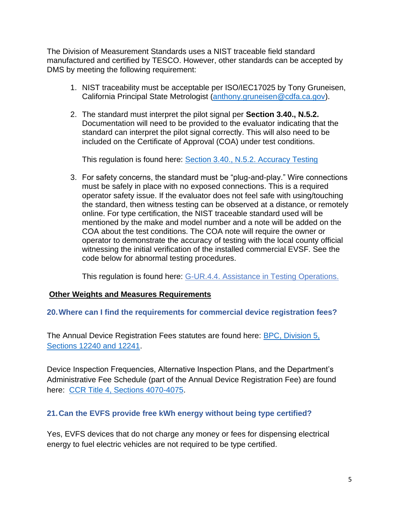The Division of Measurement Standards uses a NIST traceable field standard manufactured and certified by TESCO. However, other standards can be accepted by DMS by meeting the following requirement:

- 1. NIST traceability must be acceptable per ISO/IEC17025 by Tony Gruneisen, California Principal State Metrologist [\(anthony.gruneisen@cdfa.ca.gov\)](mailto:anthony.gruneisen@cdfa.ca.gov).
- 2. The standard must interpret the pilot signal per **Section 3.40., N.5.2.** Documentation will need to be provided to the evaluator indicating that the standard can interpret the pilot signal correctly. This will also need to be included on the Certificate of Approval (COA) under test conditions.

This regulation is found here: [Section 3.40., N.5.2. Accuracy Testing](https://www.nist.gov/system/files/documents/2021/11/30/2022-HB44-Section-3-40-22.pdf)

3. For safety concerns, the standard must be "plug-and-play." Wire connections must be safely in place with no exposed connections. This is a required operator safety issue. If the evaluator does not feel safe with using/touching the standard, then witness testing can be observed at a distance, or remotely online. For type certification, the NIST traceable standard used will be mentioned by the make and model number and a note will be added on the COA about the test conditions. The COA note will require the owner or operator to demonstrate the accuracy of testing with the local county official witnessing the initial verification of the installed commercial EVSF. See the code below for abnormal testing procedures.

This regulation is found here: [G-UR.4.4. Assistance in Testing Operations.](https://www.cdfa.ca.gov/dms/docs/publications/2022/Part_2_Chpt_1_2022.pdf)

## **Other Weights and Measures Requirements**

### **20.Where can I find the requirements for commercial device registration fees?**

The Annual Device Registration Fees statutes are found here: [BPC, Division 5,](https://leginfo.legislature.ca.gov/faces/codes_displayText.xhtml?lawCode=BPC&division=5.&title=&part=&chapter=2.&article=2.1.)  [Sections 12240 and 12241.](https://leginfo.legislature.ca.gov/faces/codes_displayText.xhtml?lawCode=BPC&division=5.&title=&part=&chapter=2.&article=2.1.)

Device Inspection Frequencies, Alternative Inspection Plans, and the Department's Administrative Fee Schedule (part of the Annual Device Registration Fee) are found here: [CCR Title 4, Sections 4070-4075.](https://govt.westlaw.com/calregs/Browse/Home/California/CaliforniaCodeofRegulations?guid=I8F470E30D45911DEA95CA4428EC25FA0&originationContext=documenttoc&transitionType=Default&contextData=(sc.Default)&bhcp=1)

## **21.Can the EVFS provide free kWh energy without being type certified?**

Yes, EVFS devices that do not charge any money or fees for dispensing electrical energy to fuel electric vehicles are not required to be type certified.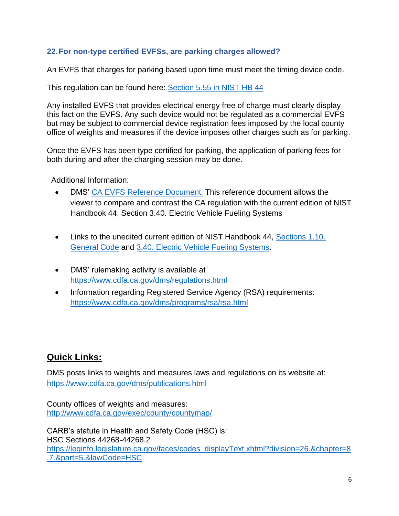## **22.For non-type certified EVFSs, are parking charges allowed?**

An EVFS that charges for parking based upon time must meet the timing device code.

This regulation can be found here: [Section 5.55 in NIST HB 44](https://www.nist.gov/system/files/documents/2021/12/06/Handbook-44e2022.pdf)

Any installed EVFS that provides electrical energy free of charge must clearly display this fact on the EVFS. Any such device would not be regulated as a commercial EVFS but may be subject to commercial device registration fees imposed by the local county office of weights and measures if the device imposes other charges such as for parking.

Once the EVFS has been type certified for parking, the application of parking fees for both during and after the charging session may be done.

Additional Information:

- DMS' CA EVFS [Reference Document](https://gcc02.safelinks.protection.outlook.com/?url=http%3A%2F%2Fwww.cdfa.ca.gov%2Fdms%2Fpdfs%2FCA_EVSE_Regulation_Reference_Document.pdf&data=04%7C01%7Cjohn.roach%40cdfa.ca.gov%7C82c4cdbe41894114bd3908d8b3636e35%7Cafdfd251a22248978cbaae68cabfffbc%7C0%7C0%7C637456586919492556%7CUnknown%7CTWFpbGZsb3d8eyJWIjoiMC4wLjAwMDAiLCJQIjoiV2luMzIiLCJBTiI6Ik1haWwiLCJXVCI6Mn0%3D%7C1000&sdata=G%2BK%2BOc1sJx65FllU%2BbtpM4j%2BeTa2MYjRFq%2F97gyskPM%3D&reserved=0). This reference document allows the viewer to compare and contrast the CA regulation with the current edition of NIST Handbook 44, Section 3.40. Electric Vehicle Fueling Systems
- Links to the unedited current edition of NIST Handbook 44, [Sections 1.10.](https://www.nist.gov/system/files/documents/2021/11/30/2022-HB44-Section-1-10-22.pdf)  [General Code](https://www.nist.gov/system/files/documents/2021/11/30/2022-HB44-Section-1-10-22.pdf) and [3.40. Electric Vehicle Fueling Systems.](https://www.nist.gov/system/files/documents/2021/11/30/2022-HB44-Section-3-40-22.pdf)
- DMS' rulemaking activity is available at [https://www.cdfa.ca.gov/dms/regulations.html](https://gcc02.safelinks.protection.outlook.com/?url=https%3A%2F%2Fwww.cdfa.ca.gov%2Fdms%2Fregulations.html&data=04%7C01%7Cjohn.roach%40cdfa.ca.gov%7C82c4cdbe41894114bd3908d8b3636e35%7Cafdfd251a22248978cbaae68cabfffbc%7C0%7C0%7C637456586919512467%7CUnknown%7CTWFpbGZsb3d8eyJWIjoiMC4wLjAwMDAiLCJQIjoiV2luMzIiLCJBTiI6Ik1haWwiLCJXVCI6Mn0%3D%7C1000&sdata=oTG50K2%2FFH3SrUB%2FqzW%2BAZKOWs5WJvk9POpPA2deriY%3D&reserved=0)
- Information regarding Registered Service Agency (RSA) requirements: <https://www.cdfa.ca.gov/dms/programs/rsa/rsa.html>

# **Quick Links:**

DMS posts links to weights and measures laws and regulations on its website at: [https://www.cdfa.ca.gov/dms/publications.html](https://gcc02.safelinks.protection.outlook.com/?url=https%3A%2F%2Fwww.cdfa.ca.gov%2Fdms%2Fpublications.html&data=04%7C01%7Cjohn.roach%40cdfa.ca.gov%7C82c4cdbe41894114bd3908d8b3636e35%7Cafdfd251a22248978cbaae68cabfffbc%7C0%7C0%7C637456586919472640%7CUnknown%7CTWFpbGZsb3d8eyJWIjoiMC4wLjAwMDAiLCJQIjoiV2luMzIiLCJBTiI6Ik1haWwiLCJXVCI6Mn0%3D%7C1000&sdata=7%2FtKft%2FPeGwbx3DdLq%2FxkLKNiLv54SjZ90Q2dLYO%2FLc%3D&reserved=0)

County offices of weights and measures: <http://www.cdfa.ca.gov/exec/county/countymap/>

CARB's statute in Health and Safety Code (HSC) is: HSC Sections 44268-44268.2 [https://leginfo.legislature.ca.gov/faces/codes\\_displayText.xhtml?division=26.&chapter=8](https://gcc02.safelinks.protection.outlook.com/?url=https%3A%2F%2Fleginfo.legislature.ca.gov%2Ffaces%2Fcodes_displayText.xhtml%3Fdivision%3D26.%26chapter%3D8.7.%26part%3D5.%26lawCode%3DHSC&data=04%7C01%7Cjohn.roach%40cdfa.ca.gov%7C789981b5d38d4ece98c408d8cde458c6%7Cafdfd251a22248978cbaae68cabfffbc%7C0%7C0%7C637485727912153105%7CUnknown%7CTWFpbGZsb3d8eyJWIjoiMC4wLjAwMDAiLCJQIjoiV2luMzIiLCJBTiI6Ik1haWwiLCJXVCI6Mn0%3D%7C1000&sdata=OGoErjCQv%2B0ZtARtzhixCVb6kf8oObgOBzWRAcvRCp0%3D&reserved=0) [.7.&part=5.&lawCode=HSC](https://gcc02.safelinks.protection.outlook.com/?url=https%3A%2F%2Fleginfo.legislature.ca.gov%2Ffaces%2Fcodes_displayText.xhtml%3Fdivision%3D26.%26chapter%3D8.7.%26part%3D5.%26lawCode%3DHSC&data=04%7C01%7Cjohn.roach%40cdfa.ca.gov%7C789981b5d38d4ece98c408d8cde458c6%7Cafdfd251a22248978cbaae68cabfffbc%7C0%7C0%7C637485727912153105%7CUnknown%7CTWFpbGZsb3d8eyJWIjoiMC4wLjAwMDAiLCJQIjoiV2luMzIiLCJBTiI6Ik1haWwiLCJXVCI6Mn0%3D%7C1000&sdata=OGoErjCQv%2B0ZtARtzhixCVb6kf8oObgOBzWRAcvRCp0%3D&reserved=0)